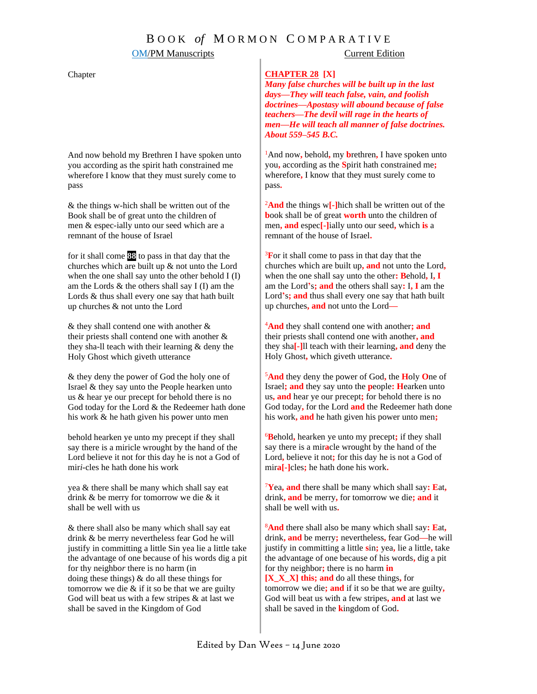## **OM/PM Manuscripts** Current Edition

## Chapter

And now behold my Brethren I have spoken unto you according as the spirit hath constrained me wherefore I know that they must surely come to pass

& the things w-hich shall be written out of the Book shall be of great unto the children of men & espec-ially unto our seed which are a remnant of the house of Israel

for it shall come **88** to pass in that day that the churches which are built up & not unto the Lord when the one shall say unto the other behold I (I) am the Lords & the others shall say I (I) am the Lords & thus shall every one say that hath built up churches & not unto the Lord

& they shall contend one with another & their priests shall contend one with another & they sha-ll teach with their learning & deny the Holy Ghost which giveth utterance

& they deny the power of God the holy one of Israel & they say unto the People hearken unto us & hear ye our precept for behold there is no God today for the Lord & the Redeemer hath done his work & he hath given his power unto men

behold hearken ye unto my precept if they shall say there is a miricle wrought by the hand of the Lord believe it not for this day he is not a God of mir*i*-cles he hath done his work

yea & there shall be many which shall say eat drink & be merry for tomorrow we die & it shall be well with us

& there shall also be many which shall say eat drink & be merry nevertheless fear God he will justify in committing a little Sin yea lie a little take the advantage of one because of his words dig a pit for thy neighbo*r* there is no harm (in doing these things) & do all these things for tomorrow we die  $&$  if it so be that we are guilty God will beat us with a few stripes & at last we shall be saved in the Kingdom of God

### **CHAPTER 28 [X]**

*Many false churches will be built up in the last days—They will teach false, vain, and foolish doctrines—Apostasy will abound because of false teachers—The devil will rage in the hearts of men—He will teach all manner of false doctrines. About 559–545 B.C.*

<sup>1</sup>And now**,** behold**,** my **b**rethren**,** I have spoken unto you**,** according as the **S**pirit hath constrained me**;** wherefore**,** I know that they must surely come to pass**.**

<sup>2</sup>**And** the things w**[-]**hich shall be written out of the **b**ook shall be of great **worth** unto the children of men**, and** espec**[-]**ially unto our seed**,** which **is** a remnant of the house of Israel**.**

<sup>3</sup>**F**or it shall come to pass in that day that the churches which are built up**, and** not unto the Lord**,**  when the one shall say unto the other**: B**ehold**,** I**, I** am the Lord**'**s**; and** the others shall say**:** I**, I** am the Lord**'**s**; and** thus shall every one say that hath built up churches**, and** not unto the Lord**—**

<sup>4</sup>**And** they shall contend one with another**; and** their priests shall contend one with another**, and** they sha**[-]**ll teach with their learning**, and** deny the Holy Ghost**,** which giveth utterance**.** 

<sup>5</sup>**And** they deny the power of God**,** the **H**oly **O**ne of Israel**; and** they say unto the **p**eople**: H**earken unto us**, and** hear ye our precept**;** for behold there is no God today**,** for the Lord **and** the Redeemer hath done his work**, and** he hath given his power unto men**;**

<sup>6</sup>**B**ehold**,** hearken ye unto my precept**;** if they shall say there is a mir**a**cle wrought by the hand of the Lord**,** believe it not**;** for this day he is not a God of mir**a[-]**cles**;** he hath done his work**.**

<sup>7</sup>**Y**ea**, and** there shall be many which shall say**: E**at**,** drink**, and** be merry**,** for tomorrow we die**; and** it shall be well with us**.**

<sup>8</sup>**And** there shall also be many which shall say**: E**at**,**  drink**, and** be merry**;** nevertheless**,** fear God**—**he will justify in committing a little **s**in**;** yea**,** lie a little**,** take the advantage of one because of his words**,** dig a pit for thy neighbor**;** there is no harm **in [X\_X\_X] this; and** do all these things**,** for tomorrow we die**; and** if it so be that we are guilty**,**  God will beat us with a few stripes**, and** at last we shall be saved in the **k**ingdom of God**.**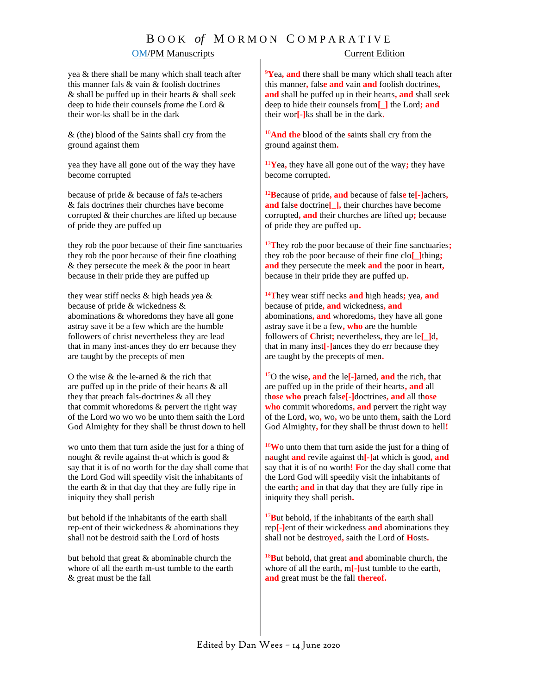# B O O K *of* M O R M O N C O M P A R A T I V E

## OM/PM Manuscripts Current Edition

yea & there shall be many which shall teach after this manner fals & vain & foolish doctrine*s* & shall be puffed up in their hearts & shall se*e*k deep to hide their counsels *f*rom*e t*he Lord & their wor-ks shall be in the dark

& (the) blood of the Saints shall cry from the ground against them

yea they have all gone out of the way they have become corrupted

because of pride & because of fa*l*s te-achers & fals doctrin*es* their churches have become corrupted & their churches are lifted up because of pride they are puffed up

they rob the poor because of their fine sanctuaries they rob the poor because of their fine cloathing & they persecute the me*e*k & the *p*oor in heart because in their pride they are puffed up

they wear stiff necks & high heads *y*ea & because of pride & wickedness & abominations & whoredoms they have all gone astray save it be a few which are the humble followers of christ nevertheless they are lead that in many inst-ances they do err because they are taught by the precepts of men

O the wise & the le-arned & the rich that are puffed up in the pride of their hearts & all they that preach fals-doctrine*s* & all they that commit whoredoms & per*v*ert the right way of the Lord wo wo wo be unto them saith the Lord God Almighty for they shall be thrust down to hell

wo unto them that turn aside the just for a thing of nought & revile against th-at which is good & say that it is of no worth for the day shall come that the Lord God will speedily visit the inhabitants of the earth & in that day that they are fully ripe in iniquity they shall perish

b*u*t behold if the inhabitants of the earth shall rep-ent of their wickedness & abominations they shall not be destroid saith the Lord of hosts

but behold that great & abominable church the whore of all the earth m-ust tumble to the earth & great must be the fall

<sup>9</sup>**Y**ea**, and** there shall be many which shall teach after this manner**,** fals**e and** vain **and** foolish doctrines**, and** shall be puffed up in their hearts**, and** shall seek deep to hide their counsels from**[\_]** the Lord**; and** their wor**[-]**ks shall be in the dark**.**

<sup>10</sup>**And the** blood of the **s**aints shall cry from the ground against them**.** 

<sup>11</sup>**Y**ea**,** they have all gone out of the way**;** they have become corrupted**.** 

<sup>12</sup>**B**ecause of pride**, and** because of fals**e** te**[-]**achers**, and** fals**e** doctrine**[\_],** their churches have become corrupted**, and** their churches are lifted up**;** because of pride they are puffed up**.**

<sup>13</sup>**T**hey rob the poor because of their fine sanctuaries**;** they rob the poor because of their fine clo**[\_]**thing**; and** they persecute the meek **and** the poor in heart**,** because in their pride they are puffed up**.**

<sup>14</sup>**T**hey wear stiff necks **and** high heads**;** yea**, and** because of pride**, and** wickedness**, and**  abominations**, and** whoredoms**,** they have all gone astray save it be a few**, who** are the humble followers of **C**hrist**;** nevertheless**,** they are le**[\_]**d**,** that in many inst**[-]**ances they do err because they are taught by the precepts of men**.**

<sup>15</sup>O the wise**, and** the le**[-]**arned**, and** the rich**,** that are puffed up in the pride of their hearts**, and** all th**ose who** preach fals**e[-]**doctrines**, and** all th**ose who** commit whoredoms**, and** pervert the right way of the Lord**,** wo**,** wo**,** wo be unto them**,** saith the Lord God Almighty**,** for they shall be thrust down to hell**!**

<sup>16</sup>**W**o unto them that turn aside the just for a thing of n**a**ught **and** revile against th**[-]**at which is good**, and** say that it is of no worth**! F**or the day shall come that the Lord God will speedily visit the inhabitants of the earth**; and** in that day that they are fully ripe in iniquity they shall perish**.** 

<sup>17</sup>**B**ut behold**,** if the inhabitants of the earth shall rep**[-]**ent of their wickedness **and** abominations they shall not be destro**ye**d**,** saith the Lord of **H**osts**.** 

<sup>18</sup>**B**ut behold**,** that great **and** abominable church**,** the whore of all the earth**,** m**[-]**ust tumble to the earth**, and** great must be the fall **thereof.**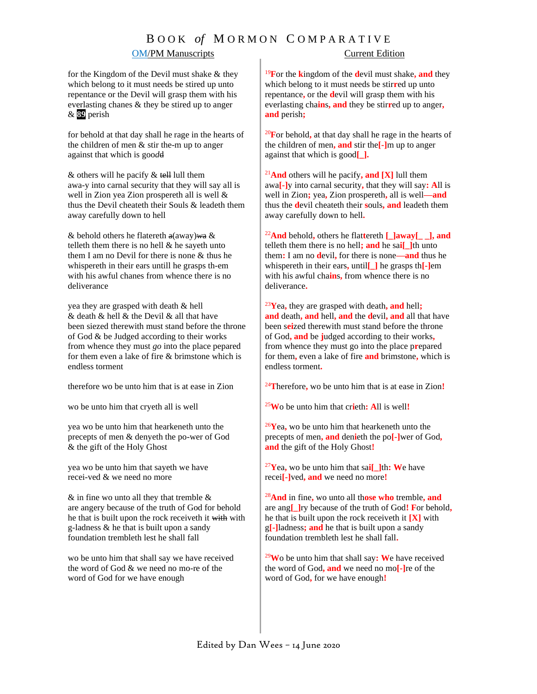# B O O K *of* M O R M O N C O M P A R A T I V E

## **OM/PM Manuscripts** Current Edition

for the Kingdom of the Devil must shake & they which belong to it must needs be stired up unto repentance or the Devil will grasp them with his everlasting chanes & they be stired up to anger & **89** perish

for behold at that day shall he rage in the hearts of the children of men & stir the-m up to anger against that which is goo*d*d

 $&$  others will he pacify  $&$  tell lull them awa-y into carnal security that they will say all is well in Zion yea Zion prospereth all is well & thus the Devil cheateth their Souls & leadeth them away carefully down to hell

& behold others he flatereth a(away)*w*a & telleth them there is no hell & he sayeth unto them I am no Devil for there is none & thus he whispereth in their ears untill he grasps th-em with his awful chanes from whence ther*e* is no deliverance

yea they are grasped with death & hell & death & hell & the Devil & all that have been siezed therewith must stand before the throne of God & be Judged according to their works from whence they must *go* into the place pepared for them even a lake of fire & brimstone which is endless torment

therefore wo be unto him that is at ease in Zion

wo be unto him that cryeth all is well

yea wo be unto him that hearkeneth unto the precepts of men & denyeth the po-wer of God & the gift of the Holy Ghost

yea wo be unto him that sayeth we have recei-ved & we need no more

 $&$  in fine wo unto all they that tremble  $&$ are angery because of the truth of God for behold he that is built upon the rock receiveth it with with g-ladness & he that is built upon a sandy foundation trembleth lest he shall fall

wo be unto him that shall say we have received the word of God & we need no mo-re of the word of God for we have enough

<sup>19</sup>**F**or the **k**ingdom of the **d**evil must shake**, and** they which belong to it must needs be stir**r**ed up unto repentance**,** or the **d**evil will grasp them with his everlasting cha**in**s**, and** they be stir**r**ed up to anger**, and** perish**;**

<sup>20</sup>**F**or behold**,** at that day shall he rage in the hearts of the children of men**, and** stir the**[-]**m up to anger against that which is good**[\_].**

<sup>21</sup>**And** others will he pacify**, and [X]** lull them awa**[-]**y into carnal security**,** that they will say**: A**ll is well in Zion**;** yea**,** Zion prospereth**,** all is well**—and** thus the **d**evil cheateth their **s**ouls**, and** leadeth them away carefully down to hell**.**

<sup>22</sup>**And** behold**,** others he flat**t**ereth **[\_]away[\_ \_], and** telleth them there is no hell**; and** he sa**i[\_]**th unto them**:** I am no **d**evil**,** for there is none**—and** thus he whispereth in their ears**,** until**[\_]** he grasps th**[-]**em with his awful cha**in**s**,** from whence there is no deliverance**.**

<sup>23</sup>**Y**ea**,** they are grasped with death**, and** hell**; and** death**, and** hell**, and** the **d**evil**, and** all that have been s**ei**zed therewith must stand before the throne of God**, and** be **j**udged according to their works**,**  from whence they must go into the place p**r**epared for them**,** even a lake of fire **and** brimstone**,** which is endless torment**.**

<sup>24</sup>**T**herefore**,** wo be unto him that is at ease in Zion**!**

<sup>25</sup>**W**o be unto him that cr**i**eth**: A**ll is well**!**

<sup>26</sup>**Y**ea**,** wo be unto him that hearkeneth unto the precepts of men**, and** den**i**eth the po**[-]**wer of God**, and** the gift of the Holy Ghost**!**

<sup>27</sup>**Y**ea**,** wo be unto him that sa**i[\_]**th**: W**e have recei**[-]**ved**, and** we need no more**!**

<sup>28</sup>**And** in fine**,** wo unto all th**ose who** tremble**, and** are ang**[\_]**ry because of the truth of God**! F**or behold**,** he that is built upon the rock receiveth it **[X]** with g**[-]**ladness**; and** he that is built upon a sandy foundation trembleth lest he shall fall**.**

<sup>29</sup>**W**o be unto him that shall say**: W**e have received the word of God**, and** we need no mo**[-]**re of the word of God**,** for we have enough**!**